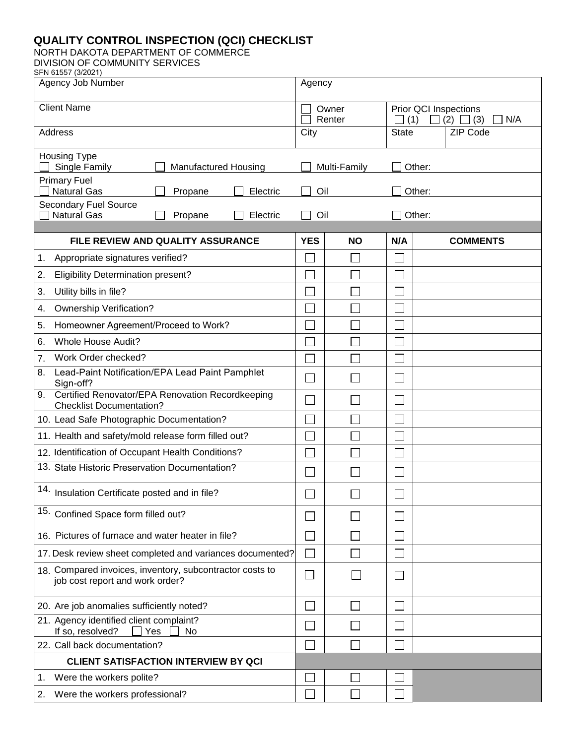## **QUALITY CONTROL INSPECTION (QCI) CHECKLIST**

NORTH DAKOTA DEPARTMENT OF COMMERCE

DIVISION OF COMMUNITY SERVICES SFN 61557 (3/2021)

| 1001100E17<br>Agency Job Number                                                             |                             | Agency          |                                                          |                 |  |  |  |  |  |
|---------------------------------------------------------------------------------------------|-----------------------------|-----------------|----------------------------------------------------------|-----------------|--|--|--|--|--|
| <b>Client Name</b>                                                                          |                             | Owner<br>Renter | Prior QCI Inspections<br>(1)<br>(2)<br>N/A<br>$\Box$ (3) |                 |  |  |  |  |  |
| Address                                                                                     |                             |                 | <b>State</b>                                             | <b>ZIP Code</b> |  |  |  |  |  |
| <b>Housing Type</b><br>Single Family<br><b>Manufactured Housing</b>                         |                             | Multi-Family    | Other:                                                   |                 |  |  |  |  |  |
| <b>Primary Fuel</b><br><b>Natural Gas</b><br>Electric<br>Propane                            | Oil                         |                 |                                                          | Other:          |  |  |  |  |  |
| <b>Secondary Fuel Source</b><br><b>Natural Gas</b><br>Propane<br>Electric                   | Oil                         |                 | Other:                                                   |                 |  |  |  |  |  |
| FILE REVIEW AND QUALITY ASSURANCE                                                           | <b>YES</b>                  | <b>NO</b>       | N/A                                                      | <b>COMMENTS</b> |  |  |  |  |  |
| 1.<br>Appropriate signatures verified?                                                      |                             |                 |                                                          |                 |  |  |  |  |  |
| 2.<br><b>Eligibility Determination present?</b>                                             |                             |                 |                                                          |                 |  |  |  |  |  |
| Utility bills in file?<br>3.                                                                |                             |                 |                                                          |                 |  |  |  |  |  |
| <b>Ownership Verification?</b><br>4.                                                        |                             |                 |                                                          |                 |  |  |  |  |  |
| Homeowner Agreement/Proceed to Work?<br>5.                                                  |                             |                 |                                                          |                 |  |  |  |  |  |
| <b>Whole House Audit?</b><br>6.                                                             |                             |                 |                                                          |                 |  |  |  |  |  |
| Work Order checked?<br>7.                                                                   |                             |                 |                                                          |                 |  |  |  |  |  |
| Lead-Paint Notification/EPA Lead Paint Pamphlet<br>8.<br>Sign-off?                          |                             |                 |                                                          |                 |  |  |  |  |  |
| Certified Renovator/EPA Renovation Recordkeeping<br>9.<br><b>Checklist Documentation?</b>   |                             |                 |                                                          |                 |  |  |  |  |  |
| 10. Lead Safe Photographic Documentation?                                                   |                             |                 |                                                          |                 |  |  |  |  |  |
| 11. Health and safety/mold release form filled out?                                         |                             |                 |                                                          |                 |  |  |  |  |  |
| 12. Identification of Occupant Health Conditions?                                           |                             |                 |                                                          |                 |  |  |  |  |  |
| 13. State Historic Preservation Documentation?                                              |                             |                 |                                                          |                 |  |  |  |  |  |
| 14. Insulation Certificate posted and in file?                                              |                             |                 |                                                          |                 |  |  |  |  |  |
| 15.<br>Confined Space form filled out?                                                      |                             |                 |                                                          |                 |  |  |  |  |  |
| 16. Pictures of furnace and water heater in file?                                           |                             |                 |                                                          |                 |  |  |  |  |  |
| 17. Desk review sheet completed and variances documented?                                   |                             |                 |                                                          |                 |  |  |  |  |  |
| 18. Compared invoices, inventory, subcontractor costs to<br>job cost report and work order? | $\mathcal{L}_{\mathcal{A}}$ | $\sim$          |                                                          |                 |  |  |  |  |  |
| 20. Are job anomalies sufficiently noted?                                                   |                             |                 |                                                          |                 |  |  |  |  |  |
| 21. Agency identified client complaint?<br>If so, resolved?<br>  Yes<br>No                  |                             |                 |                                                          |                 |  |  |  |  |  |
| 22. Call back documentation?                                                                |                             |                 |                                                          |                 |  |  |  |  |  |
| <b>CLIENT SATISFACTION INTERVIEW BY QCI</b>                                                 |                             |                 |                                                          |                 |  |  |  |  |  |
| Were the workers polite?<br>1.                                                              |                             |                 |                                                          |                 |  |  |  |  |  |
| Were the workers professional?<br>2.                                                        |                             |                 |                                                          |                 |  |  |  |  |  |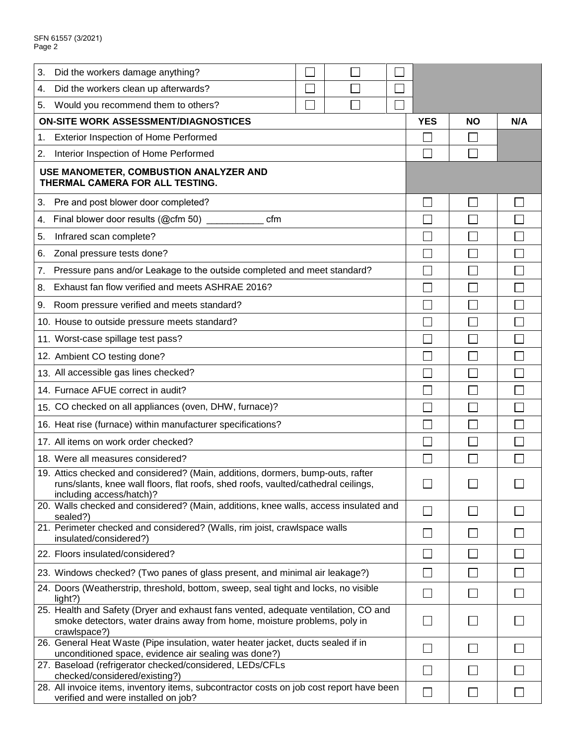| 3. | Did the workers damage anything?                                                                                                                                                                 |  |                |  |  |  |                |    |     |
|----|--------------------------------------------------------------------------------------------------------------------------------------------------------------------------------------------------|--|----------------|--|--|--|----------------|----|-----|
| 4. | Did the workers clean up afterwards?                                                                                                                                                             |  |                |  |  |  |                |    |     |
| 5. | Would you recommend them to others?                                                                                                                                                              |  |                |  |  |  |                |    |     |
|    | <b>ON-SITE WORK ASSESSMENT/DIAGNOSTICES</b>                                                                                                                                                      |  |                |  |  |  |                | NΟ | N/A |
| 1. | <b>Exterior Inspection of Home Performed</b>                                                                                                                                                     |  |                |  |  |  |                |    |     |
| 2. | Interior Inspection of Home Performed                                                                                                                                                            |  |                |  |  |  |                |    |     |
|    | USE MANOMETER, COMBUSTION ANALYZER AND<br>THERMAL CAMERA FOR ALL TESTING.                                                                                                                        |  |                |  |  |  |                |    |     |
| 3. | Pre and post blower door completed?                                                                                                                                                              |  |                |  |  |  |                |    |     |
|    | 4. Final blower door results (@cfm 50)<br>cfm                                                                                                                                                    |  |                |  |  |  |                |    |     |
| 5. | Infrared scan complete?                                                                                                                                                                          |  |                |  |  |  |                |    |     |
|    | 6. Zonal pressure tests done?                                                                                                                                                                    |  |                |  |  |  |                |    |     |
|    | 7. Pressure pans and/or Leakage to the outside completed and meet standard?                                                                                                                      |  |                |  |  |  |                |    |     |
|    | 8. Exhaust fan flow verified and meets ASHRAE 2016?                                                                                                                                              |  |                |  |  |  |                |    |     |
|    | 9. Room pressure verified and meets standard?                                                                                                                                                    |  |                |  |  |  |                |    |     |
|    | 10. House to outside pressure meets standard?                                                                                                                                                    |  |                |  |  |  |                |    |     |
|    | 11. Worst-case spillage test pass?                                                                                                                                                               |  |                |  |  |  |                |    |     |
|    | 12. Ambient CO testing done?                                                                                                                                                                     |  |                |  |  |  |                |    |     |
|    | 13. All accessible gas lines checked?                                                                                                                                                            |  |                |  |  |  |                |    |     |
|    | 14. Furnace AFUE correct in audit?                                                                                                                                                               |  |                |  |  |  |                |    |     |
|    | 15. CO checked on all appliances (oven, DHW, furnace)?                                                                                                                                           |  |                |  |  |  |                |    |     |
|    | 16. Heat rise (furnace) within manufacturer specifications?                                                                                                                                      |  |                |  |  |  |                |    |     |
|    | 17. All items on work order checked?                                                                                                                                                             |  |                |  |  |  |                |    |     |
|    | 18. Were all measures considered?                                                                                                                                                                |  |                |  |  |  |                |    |     |
|    | 19. Attics checked and considered? (Main, additions, dormers, bump-outs, rafter<br>runs/slants, knee wall floors, flat roofs, shed roofs, vaulted/cathedral ceilings<br>including access/hatch)? |  |                |  |  |  | ᆸ              |    |     |
|    | 20. Walls checked and considered? (Main, additions, knee walls, access insulated and<br>sealed?)                                                                                                 |  | $\mathsf{L}$   |  |  |  |                |    |     |
|    | 21. Perimeter checked and considered? (Walls, rim joist, crawlspace walls<br>insulated/considered?)                                                                                              |  | $\blacksquare$ |  |  |  |                |    |     |
|    | 22. Floors insulated/considered?                                                                                                                                                                 |  |                |  |  |  |                |    |     |
|    | 23. Windows checked? (Two panes of glass present, and minimal air leakage?)                                                                                                                      |  |                |  |  |  | $\sim$         |    |     |
|    | 24. Doors (Weatherstrip, threshold, bottom, sweep, seal tight and locks, no visible<br>light?)                                                                                                   |  |                |  |  |  | ×.             |    |     |
|    | 25. Health and Safety (Dryer and exhaust fans vented, adequate ventilation, CO and<br>smoke detectors, water drains away from home, moisture problems, poly in<br>crawlspace?)                   |  |                |  |  |  |                |    |     |
|    | 26. General Heat Waste (Pipe insulation, water heater jacket, ducts sealed if in<br>unconditioned space, evidence air sealing was done?)                                                         |  |                |  |  |  | $\blacksquare$ |    |     |
|    | 27. Baseload (refrigerator checked/considered, LEDs/CFLs<br>checked/considered/existing?)                                                                                                        |  |                |  |  |  | $\blacksquare$ |    |     |
|    | 28. All invoice items, inventory items, subcontractor costs on job cost report have been<br>verified and were installed on job?                                                                  |  |                |  |  |  |                |    |     |